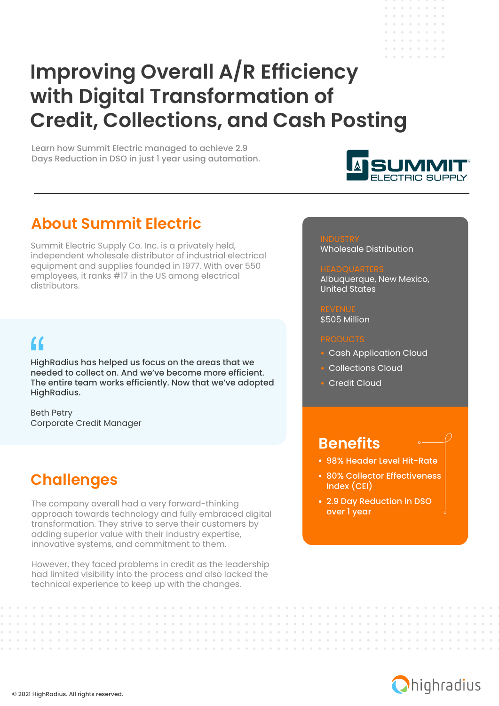# **Improving Overall A/R Efficiency with Digital Transformation of Credit, Collections, and Cash Posting**

Learn how Summit Electric managed to achieve 2.9 Days Reduction in DSO in just 1 year using automation.



**All Angel**  $\label{eq:3.1} \begin{array}{lllllllllllllllllll} \mathbf{a} & \mathbf{a} & \mathbf{a} & \mathbf{a} & \mathbf{a} & \mathbf{a} & \mathbf{a} \end{array}$ a la la la la la

### **About Summit Electric**

Summit Electric Supply Co. Inc. is a privately held, independent wholesale distributor of industrial electrical equipment and supplies founded in 1977. With over 550 employees, it ranks #17 in the US among electrical distributors.

# $\alpha$

HighRadius has helped us focus on the areas that we needed to collect on. And we've become more efficient. The entire team works efficiently. Now that we've adopted HighRadius.

Beth Petry Corporate Credit Manager

### **Challenges**

The company overall had a very forward-thinking approach towards technology and fully embraced digital transformation. They strive to serve their customers by adding superior value with their industry expertise, innovative systems, and commitment to them.

However, they faced problems in credit as the leadership had limited visibility into the process and also lacked the technical experience to keep up with the changes.

Wholesale Distribution

### Albuquerque, New Mexico, United States

\$505 Million

- Cash Application Cloud
- **Collections Cloud**
- Credit Cloud

### **Benefits**

- 98% Header Level Hit-Rate
- 80% Collector Effectiveness Index (CEI)
- 2.9 Day Reduction in DSO over 1 year

and a strain and

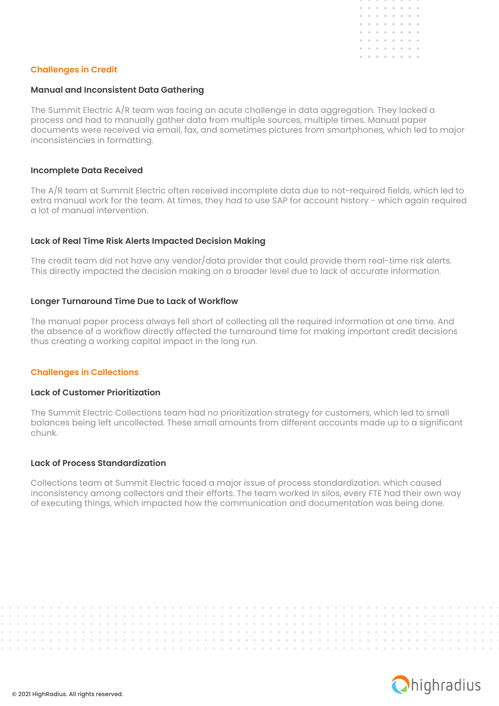

### **Challenges in Credit**

### **Manual and Inconsistent Data Gathering**

The Summit Electric A/R team was facing an acute challenge in data aggregation. They lacked a process and had to manually gather data from multiple sources, multiple times. Manual paper documents were received via email, fax, and sometimes pictures from smartphones, which led to major inconsistencies in formatting.

### **Incomplete Data Received**

The A/R team at Summit Electric often received incomplete data due to not-required fields, which led to extra manual work for the team. At times, they had to use SAP for account history - which again required a lot of manual intervention.

### **Lack of Real Time Risk Alerts Impacted Decision Making**

The credit team did not have any vendor/data provider that could provide them real-time risk alerts. This directly impacted the decision making on a broader level due to lack of accurate information.

### **Longer Turnaround Time Due to Lack of Workflow**

The manual paper process always fell short of collecting all the required information at one time. And the absence of a workflow directly affected the turnaround time for making important credit decisions thus creating a working capital impact in the long run.

### **Challenges in Collections**

#### **Lack of Customer Prioritization**

The Summit Electric Collections team had no prioritization strategy for customers, which led to small balances being left uncollected. These small amounts from different accounts made up to a significant chunk.

### **Lack of Process Standardization**

Collections team at Summit Electric faced a major issue of process standardization. which caused inconsistency among collectors and their efforts. The team worked in silos, every FTE had their own way of executing things, which impacted how the communication and documentation was being done.

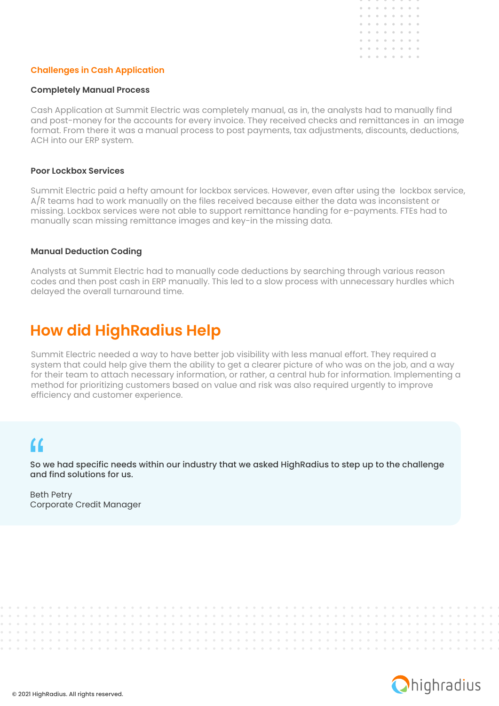

### **Challenges in Cash Application**

### **Completely Manual Process**

Cash Application at Summit Electric was completely manual, as in, the analysts had to manually find and post-money for the accounts for every invoice. They received checks and remittances in an image format. From there it was a manual process to post payments, tax adjustments, discounts, deductions, ACH into our ERP system.

### **Poor Lockbox Services**

Summit Electric paid a hefty amount for lockbox services. However, even after using the lockbox service, A/R teams had to work manually on the files received because either the data was inconsistent or missing. Lockbox services were not able to support remittance handing for e-payments. FTEs had to manually scan missing remittance images and key-in the missing data.

### **Manual Deduction Coding**

Analysts at Summit Electric had to manually code deductions by searching through various reason codes and then post cash in ERP manually. This led to a slow process with unnecessary hurdles which delayed the overall turnaround time.

### **How did HighRadius Help**

. . . . . . . . . . . . . .

Summit Electric needed a way to have better job visibility with less manual effort. They required a system that could help give them the ability to get a clearer picture of who was on the job, and a way for their team to attach necessary information, or rather, a central hub for information. Implementing a method for prioritizing customers based on value and risk was also required urgently to improve efficiency and customer experience.

## $\alpha$

So we had specific needs within our industry that we asked HighRadius to step up to the challenge and find solutions for us.

**Service Control** 

Beth Petry Corporate Credit Manager



and a state of

and a state of the

. . . . . . . . . . . .

 $\sim$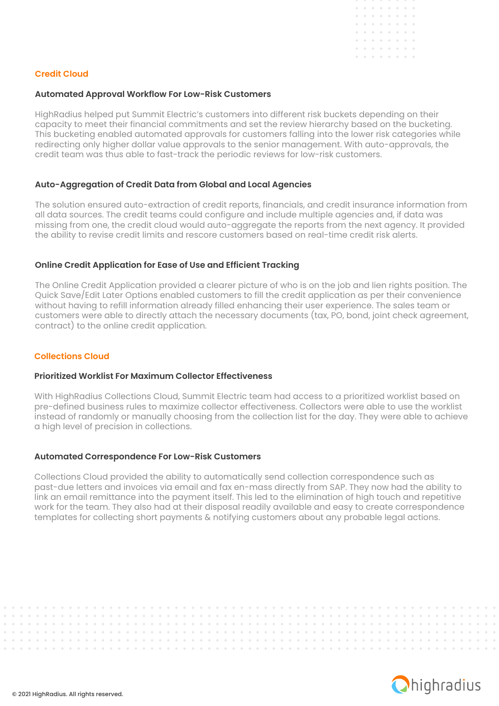

### **Credit Cloud**

### **Automated Approval Workflow For Low-Risk Customers**

HighRadius helped put Summit Electric's customers into different risk buckets depending on their capacity to meet their financial commitments and set the review hierarchy based on the bucketing. This bucketing enabled automated approvals for customers falling into the lower risk categories while redirecting only higher dollar value approvals to the senior management. With auto-approvals, the credit team was thus able to fast-track the periodic reviews for low-risk customers.

### **Auto-Aggregation of Credit Data from Global and Local Agencies**

The solution ensured auto-extraction of credit reports, financials, and credit insurance information from all data sources. The credit teams could configure and include multiple agencies and, if data was missing from one, the credit cloud would auto-aggregate the reports from the next agency. It provided the ability to revise credit limits and rescore customers based on real-time credit risk alerts.

### **Online Credit Application for Ease of Use and Efficient Tracking**

The Online Credit Application provided a clearer picture of who is on the job and lien rights position. The Quick Save/Edit Later Options enabled customers to fill the credit application as per their convenience without having to refill information already filled enhancing their user experience. The sales team or customers were able to directly attach the necessary documents (tax, PO, bond, joint check agreement, contract) to the online credit application.

### **Collections Cloud**

### **Prioritized Worklist For Maximum Collector Effectiveness**

With HighRadius Collections Cloud, Summit Electric team had access to a prioritized worklist based on pre-defined business rules to maximize collector effectiveness. Collectors were able to use the worklist instead of randomly or manually choosing from the collection list for the day. They were able to achieve a high level of precision in collections.

### **Automated Correspondence For Low-Risk Customers**

Collections Cloud provided the ability to automatically send collection correspondence such as past-due letters and invoices via email and fax en-mass directly from SAP. They now had the ability to link an email remittance into the payment itself. This led to the elimination of high touch and repetitive work for the team. They also had at their disposal readily available and easy to create correspondence templates for collecting short payments & notifying customers about any probable legal actions.

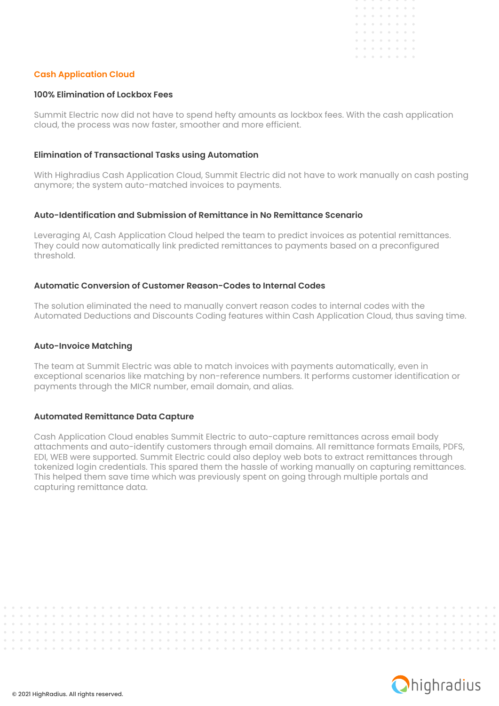

### **Cash Application Cloud**

### **100% Elimination of Lockbox Fees**

Summit Electric now did not have to spend hefty amounts as lockbox fees. With the cash application cloud, the process was now faster, smoother and more efficient.

### **Elimination of Transactional Tasks using Automation**

With Highradius Cash Application Cloud, Summit Electric did not have to work manually on cash posting anymore; the system auto-matched invoices to payments.

### **Auto-Identification and Submission of Remittance in No Remittance Scenario**

Leveraging AI, Cash Application Cloud helped the team to predict invoices as potential remittances. They could now automatically link predicted remittances to payments based on a preconfigured threshold.

### **Automatic Conversion of Customer Reason-Codes to Internal Codes**

The solution eliminated the need to manually convert reason codes to internal codes with the Automated Deductions and Discounts Coding features within Cash Application Cloud, thus saving time.

### **Auto-Invoice Matching**

The team at Summit Electric was able to match invoices with payments automatically, even in exceptional scenarios like matching by non-reference numbers. It performs customer identification or payments through the MICR number, email domain, and alias.

#### **Automated Remittance Data Capture**

Cash Application Cloud enables Summit Electric to auto-capture remittances across email body attachments and auto-identify customers through email domains. All remittance formats Emails, PDFS, EDI, WEB were supported. Summit Electric could also deploy web bots to extract remittances through tokenized login credentials. This spared them the hassle of working manually on capturing remittances. This helped them save time which was previously spent on going through multiple portals and capturing remittance data.

. . . . . . . . . . . . .

. . . . . . . . . . . . . . .

 $\sim$ 



. . . . . . . . . . . . . . . .